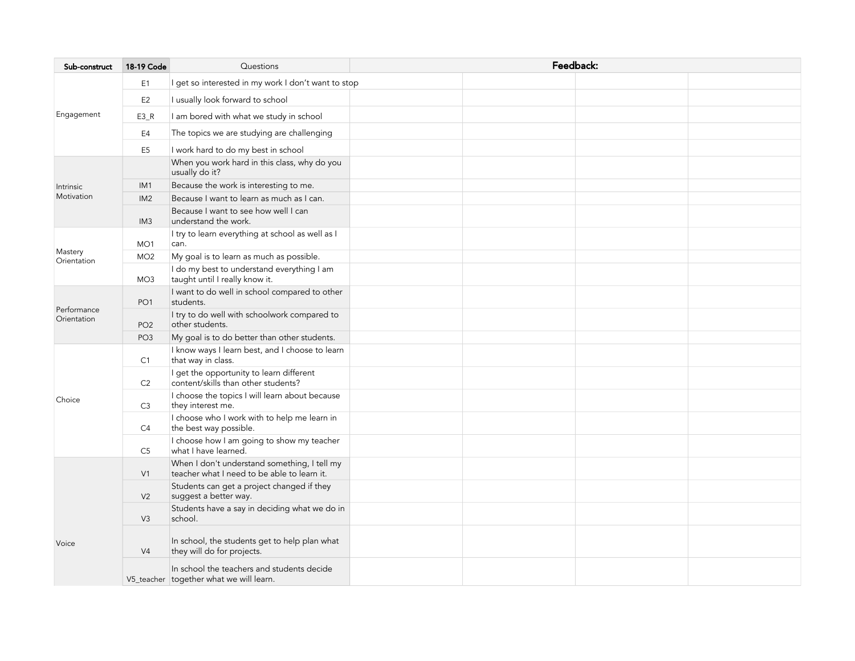| Sub-construct              | 18-19 Code      | Questions                                                                                   | Feedback: |  |  |  |  |
|----------------------------|-----------------|---------------------------------------------------------------------------------------------|-----------|--|--|--|--|
| Engagement                 | E1              | I get so interested in my work I don't want to stop                                         |           |  |  |  |  |
|                            | E <sub>2</sub>  | I usually look forward to school                                                            |           |  |  |  |  |
|                            | $E3_R$          | I am bored with what we study in school                                                     |           |  |  |  |  |
|                            | E4              | The topics we are studying are challenging                                                  |           |  |  |  |  |
|                            | E <sub>5</sub>  | I work hard to do my best in school                                                         |           |  |  |  |  |
| Intrinsic<br>Motivation    |                 | When you work hard in this class, why do you<br>usually do it?                              |           |  |  |  |  |
|                            | IM <sub>1</sub> | Because the work is interesting to me.                                                      |           |  |  |  |  |
|                            | IM <sub>2</sub> | Because I want to learn as much as I can.                                                   |           |  |  |  |  |
|                            | IM <sub>3</sub> | Because I want to see how well I can<br>understand the work.                                |           |  |  |  |  |
| Mastery<br>Orientation     | MO <sub>1</sub> | I try to learn everything at school as well as I<br>can.                                    |           |  |  |  |  |
|                            | MO <sub>2</sub> | My goal is to learn as much as possible.                                                    |           |  |  |  |  |
|                            | MO <sub>3</sub> | I do my best to understand everything I am<br>taught until I really know it.                |           |  |  |  |  |
| Performance<br>Orientation | PO <sub>1</sub> | I want to do well in school compared to other<br>students.                                  |           |  |  |  |  |
|                            | PO <sub>2</sub> | I try to do well with schoolwork compared to<br>other students.                             |           |  |  |  |  |
|                            | PO <sub>3</sub> | My goal is to do better than other students.                                                |           |  |  |  |  |
| Choice                     | C1              | I know ways I learn best, and I choose to learn<br>that way in class.                       |           |  |  |  |  |
|                            | C <sub>2</sub>  | I get the opportunity to learn different<br>content/skills than other students?             |           |  |  |  |  |
|                            | C <sub>3</sub>  | I choose the topics I will learn about because<br>they interest me.                         |           |  |  |  |  |
|                            | C4              | I choose who I work with to help me learn in<br>the best way possible.                      |           |  |  |  |  |
|                            | C <sub>5</sub>  | I choose how I am going to show my teacher<br>what I have learned.                          |           |  |  |  |  |
| Voice                      | V1              | When I don't understand something, I tell my<br>teacher what I need to be able to learn it. |           |  |  |  |  |
|                            | V <sub>2</sub>  | Students can get a project changed if they<br>suggest a better way.                         |           |  |  |  |  |
|                            | V <sub>3</sub>  | Students have a say in deciding what we do in<br>school.                                    |           |  |  |  |  |
|                            | V <sub>4</sub>  | In school, the students get to help plan what<br>they will do for projects.                 |           |  |  |  |  |
|                            |                 | In school the teachers and students decide<br>V5_teacher together what we will learn.       |           |  |  |  |  |